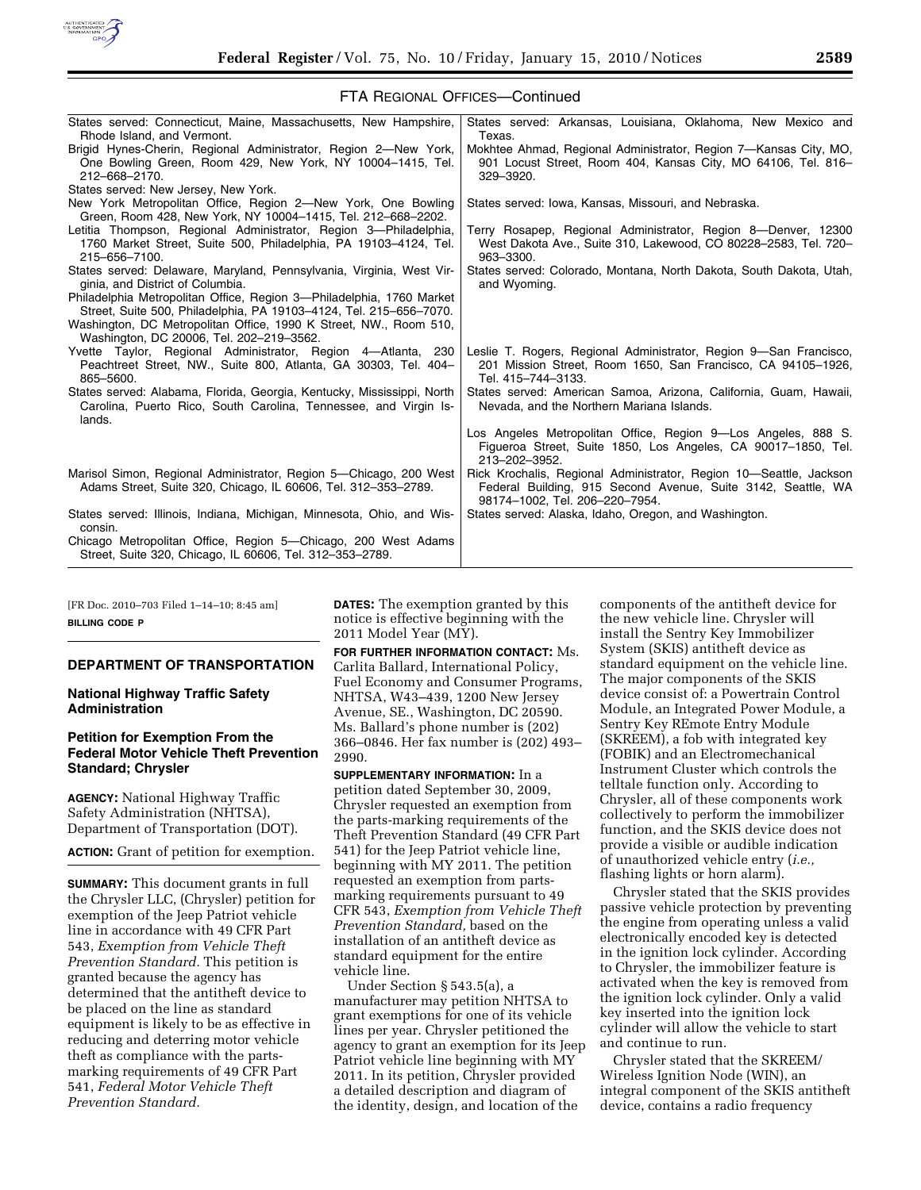

| States served: Connecticut, Maine, Massachusetts, New Hampshire,<br>Rhode Island, and Vermont.                                                        | States served: Arkansas, Louisiana, Oklahoma, New Mexico and<br>Texas.                                                                                               |
|-------------------------------------------------------------------------------------------------------------------------------------------------------|----------------------------------------------------------------------------------------------------------------------------------------------------------------------|
| Brigid Hynes-Cherin, Regional Administrator, Region 2-New York,<br>One Bowling Green, Room 429, New York, NY 10004-1415, Tel.<br>212-668-2170.        | Mokhtee Ahmad, Regional Administrator, Region 7-Kansas City, MO,<br>901 Locust Street, Room 404, Kansas City, MO 64106, Tel. 816–<br>329-3920.                       |
| States served: New Jersey, New York.                                                                                                                  |                                                                                                                                                                      |
| New York Metropolitan Office, Region 2—New York, One Bowling<br>Green, Room 428, New York, NY 10004-1415, Tel. 212-668-2202.                          | States served: Iowa, Kansas, Missouri, and Nebraska.                                                                                                                 |
| Letitia Thompson, Regional Administrator, Region 3-Philadelphia,<br>1760 Market Street, Suite 500, Philadelphia, PA 19103-4124, Tel.<br>215-656-7100. | Terry Rosapep, Regional Administrator, Region 8-Denver, 12300<br>West Dakota Ave., Suite 310, Lakewood, CO 80228-2583, Tel. 720-<br>963-3300.                        |
| States served: Delaware, Maryland, Pennsylvania, Virginia, West Vir-<br>ginia, and District of Columbia.                                              | States served: Colorado, Montana, North Dakota, South Dakota, Utah,<br>and Wyoming.                                                                                  |
| Philadelphia Metropolitan Office, Region 3-Philadelphia, 1760 Market<br>Street, Suite 500, Philadelphia, PA 19103-4124, Tel. 215-656-7070.            |                                                                                                                                                                      |
| Washington, DC Metropolitan Office, 1990 K Street, NW., Room 510,<br>Washington, DC 20006, Tel. 202-219-3562.                                         |                                                                                                                                                                      |
| Yvette Taylor, Regional Administrator, Region 4-Atlanta, 230<br>Peachtreet Street, NW., Suite 800, Atlanta, GA 30303, Tel. 404-<br>865-5600.          | Leslie T. Rogers, Regional Administrator, Region 9-San Francisco,<br>201 Mission Street, Room 1650, San Francisco, CA 94105-1926,<br>Tel. 415-744-3133.              |
| States served: Alabama, Florida, Georgia, Kentucky, Mississippi, North<br>Carolina, Puerto Rico, South Carolina, Tennessee, and Virgin Is-<br>lands.  | States served: American Samoa, Arizona, California, Guam, Hawaii,<br>Nevada, and the Northern Mariana Islands.                                                       |
|                                                                                                                                                       | Los Angeles Metropolitan Office, Region 9-Los Angeles, 888 S.<br>Figueroa Street, Suite 1850, Los Angeles, CA 90017-1850, Tel.<br>213-202-3952.                      |
| Marisol Simon, Regional Administrator, Region 5-Chicago, 200 West<br>Adams Street, Suite 320, Chicago, IL 60606, Tel. 312-353-2789.                   | Rick Krochalis, Regional Administrator, Region 10–Seattle, Jackson<br>Federal Building, 915 Second Avenue, Suite 3142, Seattle, WA<br>98174-1002, Tel. 206-220-7954. |
| States served: Illinois, Indiana, Michigan, Minnesota, Ohio, and Wis-<br>consin.                                                                      | States served: Alaska, Idaho, Oregon, and Washington.                                                                                                                |
| Chicago Metropolitan Office, Region 5-Chicago, 200 West Adams<br>Street, Suite 320, Chicago, IL 60606, Tel. 312-353-2789.                             |                                                                                                                                                                      |

FTA REGIONAL OFFICES—Continued

[FR Doc. 2010–703 Filed 1–14–10; 8:45 am] **BILLING CODE P** 

#### **DEPARTMENT OF TRANSPORTATION**

**National Highway Traffic Safety Administration** 

# **Petition for Exemption From the Federal Motor Vehicle Theft Prevention Standard; Chrysler**

**AGENCY:** National Highway Traffic Safety Administration (NHTSA), Department of Transportation (DOT).

**ACTION:** Grant of petition for exemption.

**SUMMARY:** This document grants in full the Chrysler LLC, (Chrysler) petition for exemption of the Jeep Patriot vehicle line in accordance with 49 CFR Part 543, *Exemption from Vehicle Theft Prevention Standard.* This petition is granted because the agency has determined that the antitheft device to be placed on the line as standard equipment is likely to be as effective in reducing and deterring motor vehicle theft as compliance with the partsmarking requirements of 49 CFR Part 541, *Federal Motor Vehicle Theft Prevention Standard.* 

**DATES:** The exemption granted by this notice is effective beginning with the 2011 Model Year (MY).

**FOR FURTHER INFORMATION CONTACT:** Ms. Carlita Ballard, International Policy, Fuel Economy and Consumer Programs, NHTSA, W43–439, 1200 New Jersey Avenue, SE., Washington, DC 20590. Ms. Ballard's phone number is (202) 366–0846. Her fax number is (202) 493– 2990.

**SUPPLEMENTARY INFORMATION:** In a petition dated September 30, 2009, Chrysler requested an exemption from the parts-marking requirements of the Theft Prevention Standard (49 CFR Part 541) for the Jeep Patriot vehicle line, beginning with MY 2011. The petition requested an exemption from partsmarking requirements pursuant to 49 CFR 543, *Exemption from Vehicle Theft Prevention Standard,* based on the installation of an antitheft device as standard equipment for the entire vehicle line.

Under Section § 543.5(a), a manufacturer may petition NHTSA to grant exemptions for one of its vehicle lines per year. Chrysler petitioned the agency to grant an exemption for its Jeep Patriot vehicle line beginning with MY 2011. In its petition, Chrysler provided a detailed description and diagram of the identity, design, and location of the

components of the antitheft device for the new vehicle line. Chrysler will install the Sentry Key Immobilizer System (SKIS) antitheft device as standard equipment on the vehicle line. The major components of the SKIS device consist of: a Powertrain Control Module, an Integrated Power Module, a Sentry Key REmote Entry Module (SKREEM), a fob with integrated key (FOBIK) and an Electromechanical Instrument Cluster which controls the telltale function only. According to Chrysler, all of these components work collectively to perform the immobilizer function, and the SKIS device does not provide a visible or audible indication of unauthorized vehicle entry (*i.e.,*  flashing lights or horn alarm).

Chrysler stated that the SKIS provides passive vehicle protection by preventing the engine from operating unless a valid electronically encoded key is detected in the ignition lock cylinder. According to Chrysler, the immobilizer feature is activated when the key is removed from the ignition lock cylinder. Only a valid key inserted into the ignition lock cylinder will allow the vehicle to start and continue to run.

Chrysler stated that the SKREEM/ Wireless Ignition Node (WIN), an integral component of the SKIS antitheft device, contains a radio frequency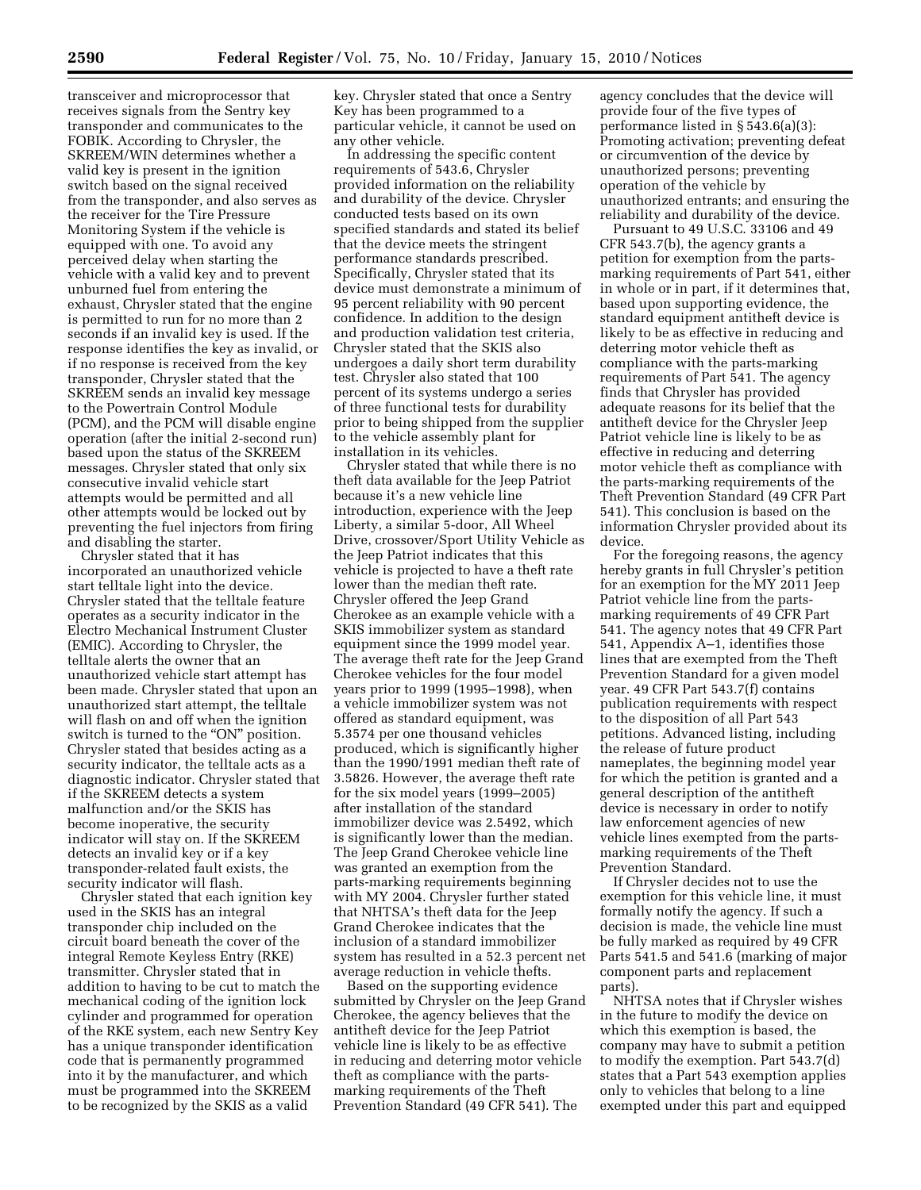transceiver and microprocessor that receives signals from the Sentry key transponder and communicates to the FOBIK. According to Chrysler, the SKREEM/WIN determines whether a valid key is present in the ignition switch based on the signal received from the transponder, and also serves as the receiver for the Tire Pressure Monitoring System if the vehicle is equipped with one. To avoid any perceived delay when starting the vehicle with a valid key and to prevent unburned fuel from entering the exhaust, Chrysler stated that the engine is permitted to run for no more than 2 seconds if an invalid key is used. If the response identifies the key as invalid, or if no response is received from the key transponder, Chrysler stated that the SKREEM sends an invalid key message to the Powertrain Control Module (PCM), and the PCM will disable engine operation (after the initial 2-second run) based upon the status of the SKREEM messages. Chrysler stated that only six consecutive invalid vehicle start attempts would be permitted and all other attempts would be locked out by preventing the fuel injectors from firing and disabling the starter.

Chrysler stated that it has incorporated an unauthorized vehicle start telltale light into the device. Chrysler stated that the telltale feature operates as a security indicator in the Electro Mechanical Instrument Cluster (EMIC). According to Chrysler, the telltale alerts the owner that an unauthorized vehicle start attempt has been made. Chrysler stated that upon an unauthorized start attempt, the telltale will flash on and off when the ignition switch is turned to the "ON" position. Chrysler stated that besides acting as a security indicator, the telltale acts as a diagnostic indicator. Chrysler stated that if the SKREEM detects a system malfunction and/or the SKIS has become inoperative, the security indicator will stay on. If the SKREEM detects an invalid key or if a key transponder-related fault exists, the security indicator will flash.

Chrysler stated that each ignition key used in the SKIS has an integral transponder chip included on the circuit board beneath the cover of the integral Remote Keyless Entry (RKE) transmitter. Chrysler stated that in addition to having to be cut to match the mechanical coding of the ignition lock cylinder and programmed for operation of the RKE system, each new Sentry Key has a unique transponder identification code that is permanently programmed into it by the manufacturer, and which must be programmed into the SKREEM to be recognized by the SKIS as a valid

key. Chrysler stated that once a Sentry Key has been programmed to a particular vehicle, it cannot be used on any other vehicle.

In addressing the specific content requirements of 543.6, Chrysler provided information on the reliability and durability of the device. Chrysler conducted tests based on its own specified standards and stated its belief that the device meets the stringent performance standards prescribed. Specifically, Chrysler stated that its device must demonstrate a minimum of 95 percent reliability with 90 percent confidence. In addition to the design and production validation test criteria, Chrysler stated that the SKIS also undergoes a daily short term durability test. Chrysler also stated that 100 percent of its systems undergo a series of three functional tests for durability prior to being shipped from the supplier to the vehicle assembly plant for installation in its vehicles.

Chrysler stated that while there is no theft data available for the Jeep Patriot because it's a new vehicle line introduction, experience with the Jeep Liberty, a similar 5-door, All Wheel Drive, crossover/Sport Utility Vehicle as the Jeep Patriot indicates that this vehicle is projected to have a theft rate lower than the median theft rate. Chrysler offered the Jeep Grand Cherokee as an example vehicle with a SKIS immobilizer system as standard equipment since the 1999 model year. The average theft rate for the Jeep Grand Cherokee vehicles for the four model years prior to 1999 (1995–1998), when a vehicle immobilizer system was not offered as standard equipment, was 5.3574 per one thousand vehicles produced, which is significantly higher than the 1990/1991 median theft rate of 3.5826. However, the average theft rate for the six model years (1999–2005) after installation of the standard immobilizer device was 2.5492, which is significantly lower than the median. The Jeep Grand Cherokee vehicle line was granted an exemption from the parts-marking requirements beginning with MY 2004. Chrysler further stated that NHTSA's theft data for the Jeep Grand Cherokee indicates that the inclusion of a standard immobilizer system has resulted in a 52.3 percent net average reduction in vehicle thefts.

Based on the supporting evidence submitted by Chrysler on the Jeep Grand Cherokee, the agency believes that the antitheft device for the Jeep Patriot vehicle line is likely to be as effective in reducing and deterring motor vehicle theft as compliance with the partsmarking requirements of the Theft Prevention Standard (49 CFR 541). The

agency concludes that the device will provide four of the five types of performance listed in § 543.6(a)(3): Promoting activation; preventing defeat or circumvention of the device by unauthorized persons; preventing operation of the vehicle by unauthorized entrants; and ensuring the reliability and durability of the device.

Pursuant to 49 U.S.C. 33106 and 49 CFR 543.7(b), the agency grants a petition for exemption from the partsmarking requirements of Part 541, either in whole or in part, if it determines that, based upon supporting evidence, the standard equipment antitheft device is likely to be as effective in reducing and deterring motor vehicle theft as compliance with the parts-marking requirements of Part 541. The agency finds that Chrysler has provided adequate reasons for its belief that the antitheft device for the Chrysler Jeep Patriot vehicle line is likely to be as effective in reducing and deterring motor vehicle theft as compliance with the parts-marking requirements of the Theft Prevention Standard (49 CFR Part 541). This conclusion is based on the information Chrysler provided about its device.

For the foregoing reasons, the agency hereby grants in full Chrysler's petition for an exemption for the MY 2011 Jeep Patriot vehicle line from the partsmarking requirements of 49 CFR Part 541. The agency notes that 49 CFR Part 541, Appendix A–1, identifies those lines that are exempted from the Theft Prevention Standard for a given model year. 49 CFR Part 543.7(f) contains publication requirements with respect to the disposition of all Part 543 petitions. Advanced listing, including the release of future product nameplates, the beginning model year for which the petition is granted and a general description of the antitheft device is necessary in order to notify law enforcement agencies of new vehicle lines exempted from the partsmarking requirements of the Theft Prevention Standard.

If Chrysler decides not to use the exemption for this vehicle line, it must formally notify the agency. If such a decision is made, the vehicle line must be fully marked as required by 49 CFR Parts 541.5 and 541.6 (marking of major component parts and replacement parts).

NHTSA notes that if Chrysler wishes in the future to modify the device on which this exemption is based, the company may have to submit a petition to modify the exemption. Part 543.7(d) states that a Part 543 exemption applies only to vehicles that belong to a line exempted under this part and equipped